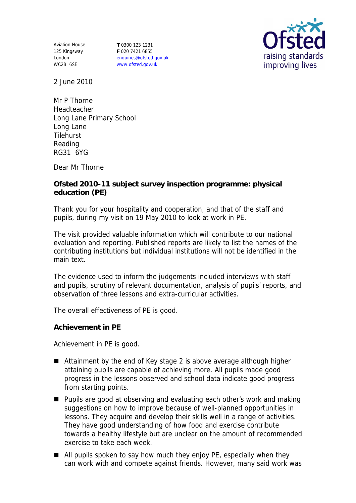Aviation House 125 Kingsway London WC2B 6SE

**T** 0300 123 1231 **F** 020 7421 6855 enquiries@ofsted.gov.uk www.ofsted.gov.uk



2 June 2010

Mr P Thorne Headteacher Long Lane Primary School Long Lane **Tilehurst** Reading RG31 6YG

Dear Mr Thorne

**Ofsted 2010-11 subject survey inspection programme: physical education (PE)** 

Thank you for your hospitality and cooperation, and that of the staff and pupils, during my visit on 19 May 2010 to look at work in PE.

The visit provided valuable information which will contribute to our national evaluation and reporting. Published reports are likely to list the names of the contributing institutions but individual institutions will not be identified in the main text.

The evidence used to inform the judgements included interviews with staff and pupils, scrutiny of relevant documentation, analysis of pupils' reports, and observation of three lessons and extra-curricular activities.

The overall effectiveness of PE is good.

**Achievement in PE** 

Achievement in PE is good.

- Attainment by the end of Key stage 2 is above average although higher attaining pupils are capable of achieving more. All pupils made good progress in the lessons observed and school data indicate good progress from starting points.
- Pupils are good at observing and evaluating each other's work and making suggestions on how to improve because of well-planned opportunities in lessons. They acquire and develop their skills well in a range of activities. They have good understanding of how food and exercise contribute towards a healthy lifestyle but are unclear on the amount of recommended exercise to take each week.
- All pupils spoken to say how much they enjoy PE, especially when they can work with and compete against friends. However, many said work was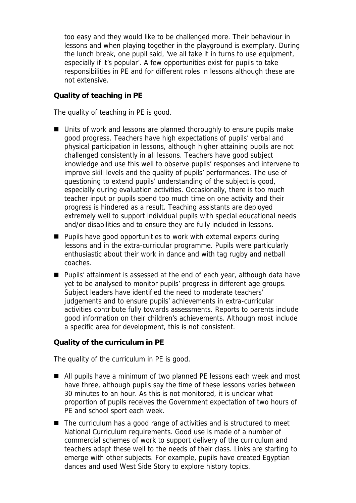too easy and they would like to be challenged more. Their behaviour in lessons and when playing together in the playground is exemplary. During the lunch break, one pupil said, 'we all take it in turns to use equipment, especially if it's popular'. A few opportunities exist for pupils to take responsibilities in PE and for different roles in lessons although these are not extensive.

## **Quality of teaching in PE**

The quality of teaching in PE is good.

- Units of work and lessons are planned thoroughly to ensure pupils make good progress. Teachers have high expectations of pupils' verbal and physical participation in lessons, although higher attaining pupils are not challenged consistently in all lessons. Teachers have good subject knowledge and use this well to observe pupils' responses and intervene to improve skill levels and the quality of pupils' performances. The use of questioning to extend pupils' understanding of the subject is good, especially during evaluation activities. Occasionally, there is too much teacher input or pupils spend too much time on one activity and their progress is hindered as a result. Teaching assistants are deployed extremely well to support individual pupils with special educational needs and/or disabilities and to ensure they are fully included in lessons.
- Pupils have good opportunities to work with external experts during lessons and in the extra-curricular programme. Pupils were particularly enthusiastic about their work in dance and with tag rugby and netball coaches.
- Pupils' attainment is assessed at the end of each year, although data have yet to be analysed to monitor pupils' progress in different age groups. Subject leaders have identified the need to moderate teachers' judgements and to ensure pupils' achievements in extra-curricular activities contribute fully towards assessments. Reports to parents include good information on their children's achievements. Although most include a specific area for development, this is not consistent.

**Quality of the curriculum in PE** 

The quality of the curriculum in PE is good.

- All pupils have a minimum of two planned PE lessons each week and most have three, although pupils say the time of these lessons varies between 30 minutes to an hour. As this is not monitored, it is unclear what proportion of pupils receives the Government expectation of two hours of PE and school sport each week.
- The curriculum has a good range of activities and is structured to meet National Curriculum requirements. Good use is made of a number of commercial schemes of work to support delivery of the curriculum and teachers adapt these well to the needs of their class. Links are starting to emerge with other subjects. For example, pupils have created Egyptian dances and used West Side Story to explore history topics.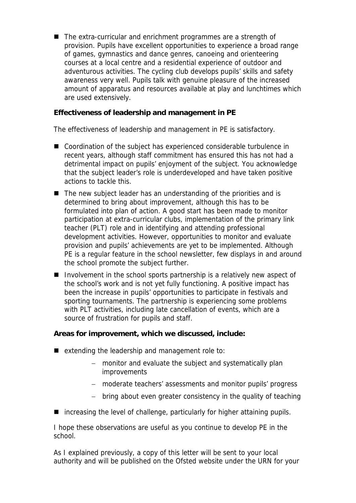■ The extra-curricular and enrichment programmes are a strength of provision. Pupils have excellent opportunities to experience a broad range of games, gymnastics and dance genres, canoeing and orienteering courses at a local centre and a residential experience of outdoor and adventurous activities. The cycling club develops pupils' skills and safety awareness very well. Pupils talk with genuine pleasure of the increased amount of apparatus and resources available at play and lunchtimes which are used extensively.

**Effectiveness of leadership and management in PE**

The effectiveness of leadership and management in PE is satisfactory.

- Coordination of the subject has experienced considerable turbulence in recent years, although staff commitment has ensured this has not had a detrimental impact on pupils' enjoyment of the subject. You acknowledge that the subject leader's role is underdeveloped and have taken positive actions to tackle this.
- The new subject leader has an understanding of the priorities and is determined to bring about improvement, although this has to be formulated into plan of action. A good start has been made to monitor participation at extra-curricular clubs, implementation of the primary link teacher (PLT) role and in identifying and attending professional development activities. However, opportunities to monitor and evaluate provision and pupils' achievements are yet to be implemented. Although PE is a regular feature in the school newsletter, few displays in and around the school promote the subject further.
- Involvement in the school sports partnership is a relatively new aspect of the school's work and is not yet fully functioning. A positive impact has been the increase in pupils' opportunities to participate in festivals and sporting tournaments. The partnership is experiencing some problems with PLT activities, including late cancellation of events, which are a source of frustration for pupils and staff.

**Areas for improvement, which we discussed, include:**

- $\blacksquare$  extending the leadership and management role to:
	- monitor and evaluate the subject and systematically plan improvements
	- moderate teachers' assessments and monitor pupils' progress
	- bring about even greater consistency in the quality of teaching
- increasing the level of challenge, particularly for higher attaining pupils.

I hope these observations are useful as you continue to develop PE in the school.

As I explained previously, a copy of this letter will be sent to your local authority and will be published on the Ofsted website under the URN for your